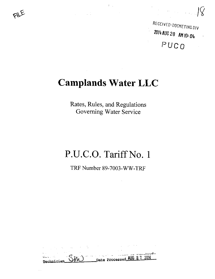

RECEIVED-DOCKETING DIV 2014 AUG 28 AM 10: 04 PUCO

# Camplands Water LLC

 $\mathcal{L}^{\text{max}}_{\text{max}}$ 

 $\Omega_{\rm{max}}$ 

 $\label{eq:2.1} \frac{1}{\sqrt{2}}\int_{\mathbb{R}^3}\frac{1}{\sqrt{2}}\left(\frac{1}{\sqrt{2}}\right)^2\frac{1}{\sqrt{2}}\left(\frac{1}{\sqrt{2}}\right)^2\frac{1}{\sqrt{2}}\left(\frac{1}{\sqrt{2}}\right)^2\frac{1}{\sqrt{2}}\left(\frac{1}{\sqrt{2}}\right)^2\frac{1}{\sqrt{2}}\left(\frac{1}{\sqrt{2}}\right)^2\frac{1}{\sqrt{2}}\frac{1}{\sqrt{2}}\frac{1}{\sqrt{2}}\frac{1}{\sqrt{2}}\frac{1}{\sqrt{2}}\frac{1}{\sqrt{2}}$ 

FILE

Rates, Rules, and Regulations Governing Water Service

# P.U.C.O. Tariff No. 1

TRF Number 89-7003-WW-TRF

 $\label{eq:2.1} \mathcal{L}_{\text{max}} = \mathcal{L}_{\text{max}} + \mathcal{L}_{\text{max}} + \mathcal{L}_{\text{max}} + \mathcal{L}_{\text{max}}$  $\frac{1}{\sqrt{3}}$   $\frac{1}{\sqrt{3}}$   $\frac{1}{\sqrt{3}}$   $\frac{1}{\sqrt{3}}$   $\frac{1}{\sqrt{3}}$   $\frac{1}{\sqrt{3}}$   $\frac{1}{\sqrt{3}}$   $\frac{1}{\sqrt{3}}$   $\frac{1}{\sqrt{3}}$   $\frac{1}{\sqrt{3}}$   $\frac{1}{\sqrt{3}}$   $\frac{1}{\sqrt{3}}$   $\frac{1}{\sqrt{3}}$   $\frac{1}{\sqrt{3}}$   $\frac{1}{\sqrt{3}}$   $\frac{1}{\sqrt{3}}$   $\frac{1}{\sqrt{3}}$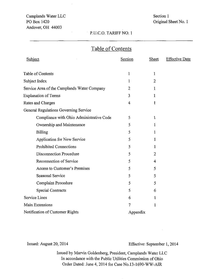Camplands Water LLC PO Box 1420 Andover, OH 44003

## Section 1 Original Sheet No. 1

#### P.U.C.O. TARIFF NO. 1

## Table of Contents

| Subject                                     | <b>Section</b> | <b>Sheet</b>   | <b>Effective Date</b> |
|---------------------------------------------|----------------|----------------|-----------------------|
| <b>Table of Contents</b>                    | 1              | $\mathbf{1}$   |                       |
| Subject Index                               | 1              | $\overline{2}$ |                       |
| Service Area of the Camplands Water Company | 2              | 1              |                       |
| <b>Explanation of Terms</b>                 | 3              | 1              |                       |
| Rates and Charges                           | $\overline{4}$ | 1              |                       |
| General Regulations Governing Service       |                |                |                       |
| Compliance with Ohio Administrative Code    | 5              | 1              |                       |
| Ownership and Maintenance                   | 5              | 1              |                       |
| <b>Billing</b>                              | 5              | 1              |                       |
| Application for New Service                 | 5              |                |                       |
| <b>Prohibited Connections</b>               | 5              |                |                       |
| Disconnection Procedure                     | 5              | 2              |                       |
| Reconnection of Service                     | 5              | 4              |                       |
| Access to Customer's Premises               | 5              | 5              |                       |
| Seasonal Service                            | 5              | 5              |                       |
| <b>Complaint Procedure</b>                  | 5              | 5              |                       |
| <b>Special Contracts</b>                    | 5              | 6              |                       |
| Service Lines                               | 6              | 1              |                       |
| Main Extensions                             | 7              | 1              |                       |
| Notification of Customer Rights             | Appendix       |                |                       |

Issued: August 20, 2014 Effective: September 1, 2014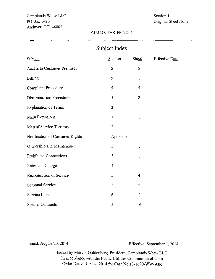Camplands Water LLC PO Box 1420 Andover, OH 44003

 $\sqrt{1-\frac{1}{2}}$ 

## Section 1 Original Sheet No. 2

### P.U.C.O. TARIFF NO. 1

| Subject Index                      |                |                |                       |  |  |  |
|------------------------------------|----------------|----------------|-----------------------|--|--|--|
| Subject                            | Section        | <b>Sheet</b>   | <b>Effective Date</b> |  |  |  |
| <b>Access to Customer Premises</b> | 5              | 5              |                       |  |  |  |
| <b>Billing</b>                     | 5              | 1              |                       |  |  |  |
| Complaint Procedure                | 5              | 5              |                       |  |  |  |
| <b>Disconnection Procedure</b>     | 5              | $\overline{2}$ |                       |  |  |  |
| <b>Explanation of Terms</b>        | 3              | 1              |                       |  |  |  |
| Main Extensions                    | $\overline{7}$ | 1              |                       |  |  |  |
| Map of Service Territory           | $\overline{2}$ | 1              |                       |  |  |  |
| Notification of Customer Rights    | Appendix       |                |                       |  |  |  |
| Ownership and Maintenance          | 5              | 1              |                       |  |  |  |
| Prohibited Connections             | 5              | 1              |                       |  |  |  |
| Rates and Charges                  | 4              | 1              |                       |  |  |  |
| Reconnection of Service            | 5              | 4              |                       |  |  |  |
| Seasonal Service                   | 5              | 5              |                       |  |  |  |
| Service Lines                      | 6              | 1              |                       |  |  |  |
| Special Contracts                  | 5              | 6              |                       |  |  |  |

Issued: August 20, 2014 Effective: September I, 2014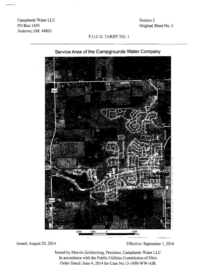Camplands Water LLC POBox 1420 Andover, OH 44003

Section 2 Original Sheet No. I

#### P.U.C.O. TARIFF NO. 1



## Service Area of the Campgrounds Water Company

Issued: August 20, 2014 Effective: September 1, 2014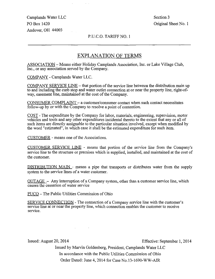Camplands Water LLC Section 3 PO Box 1420 Original Sheet No. 1 Andover, OH 44003

#### P.U.C.O. TARIFF NO. 1

## EXPLANATION OF TERMS

ASSOCIATION - Means either Holiday Camplands Association, Inc. or Lake Village Club, Inc., or any association served by the Company.

COMPANY - Camplands Water LLC.

COMPANY SERVICE LINE - that portion of the service line between the distribution main up to and including the curb stop and water outlet connection at or near the property line, right-ofway, easement line, maintained at the cost of the Company.

CONSUMER COMPLAINT - a customer/consumer contact when such contact necessitates follow-up by or with the Company to resolve a point of contention.

COST - The expenditure by the Company for labor, materials, engineering, supervision, motor vehicles and tools and any other expenditures incidental thereto to the extent that any or all of such items are directly assignable to the particular situation involved, except when modified by the word "esfimated", in which case it shall be the estimated expenditure for such item.

CUSTOMER - means one of the Associations.

CUSTOMER SERVICE LINE - means that portion of the service line from the Company's service line to the structure or premises which is supplied, installed, and maintained at the cost of the customer.

DISTRIBUTION MAIN - means a pipe that transports or distributes water from the supply system to the service lines of a water customer.

OUTAGE - Any interruption of a Company system, other than a customer service line, which causes the cessation of water service

PUCO - The Public Utilities Commission of Ohio

 $\mathcal{L}^{\mathcal{L}}(\mathcal{L}^{\mathcal{L}}(\mathcal{L}^{\mathcal{L}}(\mathcal{L}^{\mathcal{L}}(\mathcal{L}^{\mathcal{L}}(\mathcal{L}^{\mathcal{L}}(\mathcal{L}^{\mathcal{L}}(\mathcal{L}^{\mathcal{L}}(\mathcal{L}^{\mathcal{L}}(\mathcal{L}^{\mathcal{L}}(\mathcal{L}^{\mathcal{L}}(\mathcal{L}^{\mathcal{L}}(\mathcal{L}^{\mathcal{L}}(\mathcal{L}^{\mathcal{L}}(\mathcal{L}^{\mathcal{L}}(\mathcal{L}^{\mathcal{L}}(\mathcal{L}^{\mathcal{L$ 

SERVICE CONNECTION - The connection of a Company service line with the customer's service line at or near the property line, which connection enables the customer to receive service.

Issued: August 20, 2014 Effective: September 1, 2014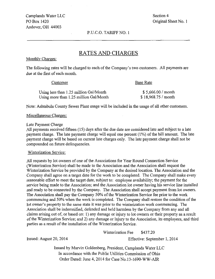Camplands Water LLC Section 4 PO Box 1420 Criginal Sheet No. 1 Andover, OH 44003

P.U.C.O. TARIFF NO. I

## RATES AND CHARGES

#### Monthly Charges:

The following rates will be charged to each of the Company's two customers. All payments are due at the first of each month.

#### Customer Base Rate

| Using less than 1.25 million Gal/Month | \$5,666.00 / month   |
|----------------------------------------|----------------------|
| Using more than 1.25 million Gal/Month | $$18,968.75$ / month |
|                                        |                      |

Note: Ashtabula County Sewer Plant usage will be included in the usage of all other customers.

## <u>Miscellaneous Charges:</u>

#### Late Payment Charge

All payments received fifteen (15) days after the due date are considered late and subject to a late payment charge. The late payment charge will equal one percent (1%) of the bill amount. The late payment charge will be based on current late charges only. The late payment charge shall not be compounded on future delinquencies.

#### Winterization Service:

All requests by lot owners of one of the Associations for Year Round Connection Service (Winterization Service) shall be made to the Association and the Association shall request the Winterization Service be provided by the Company at the desired location. The Association and the Company shall agree on a target date for the work to be completed. The Company shall make every reasonable effort to meet the target date, subject to: employee availability; the payment for the service being made to the Association; and the Association lot owner having his service line installed and ready to be connected by the Company. The Association shall accept payment from lot owners. The Association shall pay the Company 50% of the Winterization Service fee prior to the work commencing and 50% when the work is completed. The Company shall restore the condition of the lot owner's property to the same state it was prior to the winterization work commencing. The Association shall be indemnified, defended and held harmless by the Company from any and all claims arising out of, or based on: I) any damage or injury to lot owners or their property as a result of the Winterization Service; and 2) any damage or injury to the Association, its employees, and third parties as a result of the installation of the Winterization Service.

Winterization Fee \$437.20

Issued: August 20, 2014 Effective: September 1, 2014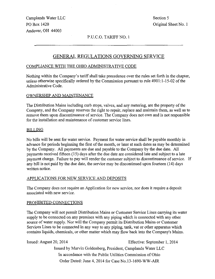Camplands Water LLC Section 5 PO Box 1420 Original Sheet No. 1 Andover, OH 44003

#### P.U.C.O. TARIFF NO. 1

## GENERAL REGULATIONS GOVERNING SERVICE

#### COMPLIANCE WITH THE OHIO ADMINISTRATIVE CODE

Nothing within the Company's tariff shall take precedence over the rules set forth in the chapter, unless otherwise specifically ordered by the Commission pursuant to rule 4901:1-15-02 of the Administrative Code.

#### OWNERSHIP AND MAINTENANCE

The Distribution Mains including curb stops, valves, and any metering, are the property of the Company, and the Company reserves the right to repair, replace and maintain them, as well as to remove them upon discontinuance of service. The Company does not own and is not responsible for the installation and maintenance of customer service lines.

#### BILLING

No bills will be sent for water service. Payment for water service shall be payable monthly in advance for periods beginning the first of the month, or later at such dates as may be determined by the Company. All payments are due and payable to the Company by the due date. All payments received fifteen (15) days after the due date are considered late and subject to a late payment charge. Failure to pay will render the customer subject to discontinuance of service. If any bill is not paid by the due date, the service may be discontinued upon fourteen (14) days written notice.

#### APPLICATIONS FOR NEW SERVICE AND DEPOSITS

The Company does not require an Application for new service, nor does it require a deposit associated with new service.

#### PROHIBITED CONNECTIONS

The Company will not permit Distribution Mains or Customer Service Lines carrying its water supply to be connected on any premises with any piping which is connected with any other source of water supply. Nor will the Company permit its Distribution Mains or Customer Services Lines to be connected in any way to any piping, tank, vat or other apparatus which contains liquids, chemicals, or other matter which may fiow back into the Company's Mains.

Issued: August 20, 2014 Effective: September I, 2014 Issued by Marvin Goldenberg, President, Camplands Water LLC In accordance with the Public Utilities Commission of Ohio Order Dated: June 4, 2014 for Case No.l3-l690-WW-AIR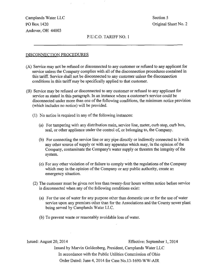Camplands Water LLC Section 5 PO Box 1420 Criginal Sheet No. 2 Andover, OH 44003

#### P.U.C.O. TARIFF NO. 1

#### DISCONNECTION PROCEDURES

- (A) Service may not be refused or disconnected to any customer or refused to any applicant for service unless the Company complies with all of the disconnection procedures contained in this tariff. Service shall not be disconnected to any customer unless the disconnection conditions in this tariff may be specifically applied to that customer.
- (B) Service may be refused or disconnected to any customer or refused to any applicant for service as stated in this paragraph. In an instance where a customer's service could be disconnected under more than one of the following conditions, the minimum notice provision (which includes no notice) will be provided.
	- (1) No notice is required in any of the following instances;
		- (a) For tampering with any distribution main, service line, meter, curb stop, curb box, seal, or other appliance under the control of, or belonging to, the Company.
		- (b) For connecting the service line or any pipe directly or indirectiy connected to it with any other source of supply or with any apparatus which may, in the opinion of the Company, contaminate the Company's water supply or threaten the integrity of the system.
		- (c) For any other violation of or failure to comply with the regulations of the Company which may in the opinion of the Company or any public authority, create an emergency situation.
	- (2) The customer must be given not less than twenty-four hours written notice before service is disconnected when any of the following conditions exist:
		- (a) For the use of water for any purpose other than domestic use or for the use of water service upon any premises other than for the Associations and the County sewer plant being served by Camplands Water LLC.
		- (b) To prevent waste or reasonably avoidable loss of water.

Issued: August 20, 2014 Effective: September I, 2014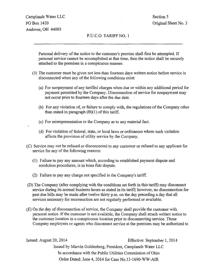## Camplands Water LLC Section 5 PO Box 1420 Original Sheet No. 3 Andover, OH 44003

#### P.U.C.O. TARIFF NO. 1

Personal delivery of the notice to the customer's premise shall first be attempted. If personal service cannot be accomplished at that time, then the notice shall be securely attached to the premises in a conspicuous manner.

- (3) The customer must be given not less than fourteen days written notice before service is disconnected when any of the following conditions exist:
	- (a) For nonpayment of any tariffed charges when due or within any additional period for payment permitted by the Company. Disconnection of service for nonpayment may not occur prior to fourteen days after the due date.
	- (b) For any violation of, or failure to comply with, the regulations of the Company other than stated in paragraph  $(B)(1)$  of this tariff.
	- (c) For misrepresentation to the Company as to any material fact.
	- (d) For violation of federal, state, or local laws or ordinances where such violation affects the provision of utility service by the Company.
- (C) Service may not be refused or disconnected to any customer or refused to any applicant for service for any of the following reasons:
	- (1) Failure to pay any amount which, according to established payment dispute and resolution procedures, is in bona fide dispute.
	- (2) Failure to pay any charge not specified in the Company's tariff
- (D) The Company (after complying with the conditions set forth in this tariff) may disconnect service during its normal business hours as stated in its tariff; however, no disconnection for past due bills may be made after twelve thirty p.m. on the day preceding a day that all services necessary for reconnection are not regularly performed or available.
- (E) On the day of disconnection of service, the Company shall provide the customer with personal notice. If the customer is not available, the Company shall attach written notice to the customer location in a conspicuous location prior to disconnecting service. Those Company employees or agents who disconnect service al the premises may be authorized to

Issued: August 20, 2014 Effective: September 1, 2014 Issued by Marvin Goldenberg, President, Camplands Water LLC In accordance with the Public Utilities Commission of Ohio Order Dated: June 4, 2014 for Case No.l3-l690-WW-AIR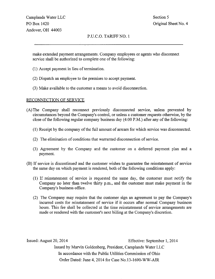#### P.UC.O. TARIFF NO. 1

make extended payment arrangements. Company employees or agents who disconnect service shall be authorized to complete one of the following:

- (1) Accept payment in lieu of termination.
- (2) Dispatch an employee to the premises to accept payment.
- (3) Make available to the customer a means to avoid disconnection.

#### RECONNECTION OF SERVICE

- (A) The Company shall reconnect previously disconnected service, unless prevented by circumstances beyond the Company's control, or unless a customer requests otherwise, by the close of the following regular company business day (4:00 P.M.) after any of the following:
	- (1) Receipt by the company of the full amount of arrears for which service was disconnected.
	- (2) The elimination of conditions that warranted disconnection of service.
	- (3) Agreement by the Company and the customer on a deferred payment plan and a payment.
- (B) If service is discontinued and the customer wishes to guarantee the reinstatement of service the same day on which payment is rendered, both of the following conditions apply:
	- (1) If reinstatement of service is requested the same day, the customer must notify the Company no later than twelve thirty p.m., and the customer must make payment in the Company's business office.
	- (2) The Company may require that the customer sign an agreement to pay the Company's incurred costs for reinstatement of service if it occurs after normal Company business hours. This fee shall be collected at the time reinstatement of service arrangements are made or rendered with the customer's next billing at the Company's discretion.

Issued: August 20, 2014 Effective: September I, 2014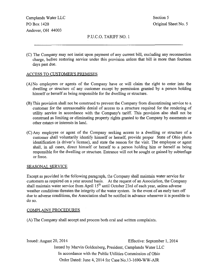Camplands Water LLC Section 5 PO Box 1420 Criginal Sheet No. 5 Andover, OH 44003

P.U.C.O. TARIFF NO. 1

(C) The Company may not insist upon payment of any current bill, excluding any reconnection charge, before restoring service under this provision unless that bill is more than fourteen days past due.

#### ACCESS TO CUSTOMER'S PREMISES

- (A) No employees or agents of the Company have or will claim the right to enter into the dwelling or structure of any customer except by permission granted by a person holding himself or herself as being responsible for the dwelling or structure.
- (B) This provision shall not be construed to prevent the Company from discontinuing service to a customer for the unreasonable denial of access to a structure required for the rendering of utility service in accordance with the Company's tariff. This provision also shall not be construed as limiting or eliminating property rights granted to the Company by easements or other estates or interests in land.
- (C) Any employee or agent of the Company seeking access to a dwelling or structure of a customer shall voluntarily identify himself or herself, provide proper State of Ohio photo identification (a driver's license), and state the reason for the visit. The employee or agent shall, in all cases, direct himself or herself to a person holding him or herself as being responsible for the dwelling or structure. Entrance will not be sought or gained by subterfuge or force.

#### SEASONAL SERVICE

Except as provided in the following paragraph, the Company shall maintain water service for customers as required on a year around basis. At the request of an Association, the Company shall maintain water service from April 15<sup>th</sup> until October 23rd of each year, unless adverse weather conditions threaten the integrity of the water system. In the event of an early turn off due to adverse conditions, the Association shall be notified in advance whenever it is possible to do so.

#### COMPLAINT PROCEDURES

(A) The Company shall accept and process both oral and written complaints.

Issued: August 20, 2014 Effective: September 1, 2014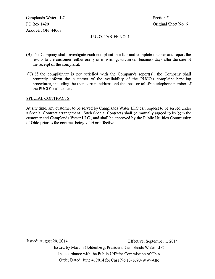Camplands Water LLC Section 5 PO Box 1420 Criginal Sheet No. 6 Andover, OH 44003

P.U.C.O. TARIFF NO. 1

- (B) The Company shall investigate each complaint in a fair and complete manner and report the results to the customer, either orally or in writing, within ten business days after the date of the receipt of the complaint.
- (C) If the complainant is not satisfied with the Company's report(s), the Company shall promptly inform the customer of the availability of the PUCO's complaint handling procedures, including the then current address and the local or toll-free telephone number of the PUCO's call center.

#### SPECIAL CONTRACTS

At any time, any customer to be served by Camplands Water LLC can request to be served under a Special Contract arrangement. Such Special Contracts shall be mutually agreed to by both the customer and Camplands Water LLC, and shall be approved by the Public Utilities Commission of Ohio prior to the contract being valid or effective.

Issued: August 20, 2014 Effective: September 1, 2014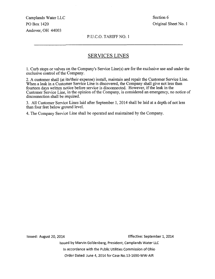Camplands Water LLC Section 6 PO Box 1420 Original Sheet No. 1 Andover, OH 44003

P.U.C.O. TARIFF NO. 1

## SERVICES LINES

1. Curb stops or valves on the Company's Service Line(s) are for the exclusive use and under the exclusive control of the Company.

2. A customer shall (at its/their expense) install, maintain and repair the Customer Service Line. When a leak in a Customer Service Line is discovered, the Company shall give not less than fourteen days written notice before service is disconnected. However, if the leak in the Customer Service Line, in the opinion of the Company, is considered an emergency, no notice of disconnection shall be required.

3. All Customer Service Lines laid after September 1, 2014 shall be laid at a depth of not less than four feet below ground level.

4. The Company Service Line shall be operated and maintained by the Company.

Issued: August 20, 2014 Effective: September 1, 2014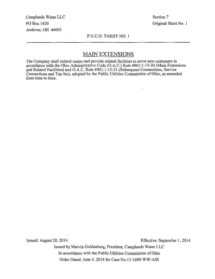Camplands Water LLC Section 7 PO Box 1420 Original Sheet No. 1 Andover, OH 44003

#### P.U.C.O. TARIFF NO. 1

## MAIN EXTENSIONS

The Company shall extend mains and provide related facilities to serve new customers in accordance with the Ohio Administrative Code (O.A.C.) Rule 4901:1-15-30 (Main Extensions and Related Facilities) and O.A.C. Rule 4901:1-15-31 (Subsequent Connections, Service Connections and Tap-Ins), adopted by the Public Utilities Commission of Ohio, as amended from time to time.

Issued: August 20, 2014 Effective: September I, 2014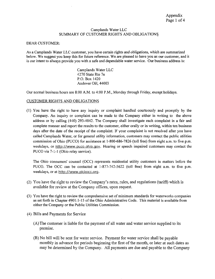#### Camplands Water LLC SUMMARY OF CUSTOMER RIGHTS AND OBLIGATIONS

#### DEAR CUSTOMER;

As a Camplands Water LLC customer, you have certain rights and obligations, which are summarized below. We suggest you keep this for future reference. We are pleased to have you as our customer, and it is our intent to always provide you with a safe and dependable water service. Our business address is:

> Camplands Water LLC 4270 State Rte 7n P.O. Box 1420 Andover OH, 44003

Our normal business hours are 8:00 A.M. to 4:00 P.M., Monday through Friday, except holidays.

#### CUSTOMER RIGHTS AND OBLIGATIONS

(1) You have the right to have any inquiry or complaint handled courteously and promptly by the Company. An inquiry or complaint can be made to the Company either in writing to the above address or by calling (440) 293-4042. The Company shall investigate each complaint in a fair and complete manner and report the results to the customer, either orally or in writing, within ten business days after the date of the receipt of the complaint. If your complaint is not resolved after you have called Camplands Water, or for general utility information, customers may contact the public utilities commission of Ohio (PUCO) for assistance at 1-800-686-7826 (toll free) from eight a.m. to five p.m. weekdays, or http://www.puco.ohio.gov. Hearing or speech impaired customers may contact the PUCO via 7-1-1 (Ohio relay service).

The Ohio consumers' counsel (OCC) represents residential utility customers in matters before the PUCO. The OCC can be contacted at 1-877-742-5622 (toil free) from eight a.m. to five p.m. weekdays, or at http://www.pickocc.org.

- (2) You have the right to review the Company's rates, rules, and regulations (tariff) which is available for review at the Company offices, upon request.
- (3) You have the right to review the comprehensive set of minimum standards for waterworks companies as set forth in Chapter 4901:1-15 of the Ohio Administrative Code. This material is available from either the Company or the Public Utilities Commission.
- (4) Bills and Payments for Service
	- (A) The customer is liable for the payment of all water and water service supplied to its premise.
	- (B) No bill will be sent for water service. Payment for water service shall be payable monthly in advance for periods beginning the first of the month, or later at such dates as may be determined by the Company. All payments are due and payable to the Company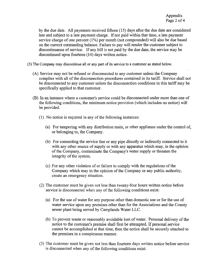by the due date. All payments received fifteen (15) days after the due date are considered late and subject to a late payment charge. If not paid within that time, a late payment service charge of one percent (1%) per month (not compounded) will also be due based on the current outstanding balance. Failure to pay will render the customer subject to discontinuance of service. If any bill is not paid by the due date, the service may be discontinued upon fourteen (14) days written notice.

(5) The Company may discontinue all or any part of its service to a customer as stated below.

- (A) Service may not be refused or disconnected to any customer unless the Company complies with all of the disconnection procedures contained in its tariff. Service shall not be disconnected to any customer unless the disconnection conditions in this tariff may be specifically applied to that customer.
- (B) In an instance where a customer's service could be disconnected under more than one of the following conditions, the minimum notice provision (which includes no notice) will be provided.
	- (1) No notice is required in any of the following instances:
		- (a) For tampering with any distribution main, or other appliance under the control of, or belonging to, the Company.
		- (b) For connecting the service line or any pipe directly or indirectly connected to it with any other source of supply or with any apparatus which may, in the opinion of the Company, contaminate the Company's water supply or threaten the integrity of the system.
		- (c) For any other violation of or failure to comply with the regulations of the Company which may in the opinion of the Company or any public authority, create an emergency situation.
	- (2) The customer must be given not less than twenty-four hours written notice before service is disconnected when any of the following conditions exist:
		- (a) For the use of water for any purpose other than domestic use or for the use of water service upon any premises other than for the Associations and the County sewer plant being served by Camplands Water LLC.
		- (b) To prevent waste or reasonably avoidable loss of water. Personal delivery of the notice to the customer's premise shall first be attempted. If personal service cannot be accomplished at that time, then the notice shall be securely attached to the premises in a conspicuous manner.
	- (3) The customer must be given not less than fourteen days written notice before service is disconnected when any of the following conditions exist: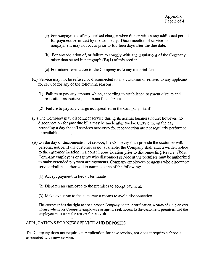- (a) For nonpayment of any tariffed charges when due or within any additional period for payment permitted by the Company. Disconnection of service for nonpayment may not occur prior to fourteen days after the due date.
- (b) For any violation of, or failure to comply with, the regulations of the Company other than stated in paragraph (B)(1) of this section.
- (c) For misrepresentation to the Company as to any material fact.
- (C) Service may not be refused or discormected to any customer or refused to any applicant for service for any of the following reasons:
	- (1) Failure to pay any amount which, according to established payment dispute and resolution procedures, is in bona fide dispute.
	- (2) Failure to pay any charge not specified in the Company's tariff.
- (D) The Company may disconnect service during its normal business hours; however, no disconnection for past due bills may be made after twelve thirty p.m. on the day preceding a day that all services necessary for reconnection are not regularly performed or available.
- (E) On the day of disconnection of service, the Company shall provide the customer with personal notice. If the customer is not available, the Company shall attach written notice to the customer location in a conspicuous location prior to disconnecting service. Those Company employees or agents who disconnect service at the premises may be authorized to make extended payment arrangements. Company employees or agents who disconnect service shall be authorized to complete one of the following:
	- (1) Accept payment in lieu of termination.
	- (2) Dispatch an employee to the premises to accept payment.
	- (3) Make available to the customer a means to avoid disconnection.

The customer has the right to see a proper Company photo identification, a State of Ohio drivers license whenever Company employees or agents seek access to the customer's premises, and the employee must state the reason for the visit.

#### APPLICATIONS FOR NEW SERVICE AND DEPOSITS

The Company does not require an Application for new service, nor does it require a deposit associated with new service.